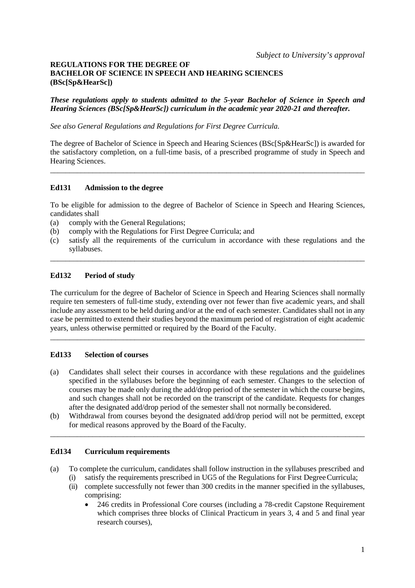## **REGULATIONS FOR THE DEGREE OF BACHELOR OF SCIENCE IN SPEECH AND HEARING SCIENCES (BSc[Sp&HearSc])**

*These regulations apply to students admitted to the 5-year Bachelor of Science in Speech and Hearing Sciences (BSc[Sp&HearSc]) curriculum in the academic year 2020-21 and thereafter.*

*See also General Regulations and Regulations for First Degree Curricula.*

The degree of Bachelor of Science in Speech and Hearing Sciences (BSc[Sp&HearSc]) is awarded for the satisfactory completion, on a full-time basis, of a prescribed programme of study in Speech and Hearing Sciences.

\_\_\_\_\_\_\_\_\_\_\_\_\_\_\_\_\_\_\_\_\_\_\_\_\_\_\_\_\_\_\_\_\_\_\_\_\_\_\_\_\_\_\_\_\_\_\_\_\_\_\_\_\_\_\_\_\_\_\_\_\_\_\_\_\_\_\_\_\_\_\_\_\_\_\_\_\_\_\_\_\_\_

## **Ed131 Admission to the degree**

To be eligible for admission to the degree of Bachelor of Science in Speech and Hearing Sciences, candidates shall

- (a) comply with the General Regulations;
- (b) comply with the Regulations for First Degree Curricula; and
- (c) satisfy all the requirements of the curriculum in accordance with these regulations and the syllabuses. \_\_\_\_\_\_\_\_\_\_\_\_\_\_\_\_\_\_\_\_\_\_\_\_\_\_\_\_\_\_\_\_\_\_\_\_\_\_\_\_\_\_\_\_\_\_\_\_\_\_\_\_\_\_\_\_\_\_\_\_\_\_\_\_\_\_\_\_\_\_\_\_\_\_\_\_\_\_\_\_\_\_

# **Ed132 Period of study**

The curriculum for the degree of Bachelor of Science in Speech and Hearing Sciences shall normally require ten semesters of full-time study, extending over not fewer than five academic years, and shall include any assessment to be held during and/or at the end of each semester. Candidates shall not in any case be permitted to extend their studies beyond the maximum period of registration of eight academic years, unless otherwise permitted or required by the Board of the Faculty.

\_\_\_\_\_\_\_\_\_\_\_\_\_\_\_\_\_\_\_\_\_\_\_\_\_\_\_\_\_\_\_\_\_\_\_\_\_\_\_\_\_\_\_\_\_\_\_\_\_\_\_\_\_\_\_\_\_\_\_\_\_\_\_\_\_\_\_\_\_\_\_\_\_\_\_\_\_\_\_\_\_\_

## **Ed133 Selection of courses**

- (a) Candidates shall select their courses in accordance with these regulations and the guidelines specified in the syllabuses before the beginning of each semester. Changes to the selection of courses may be made only during the add/drop period of the semester in which the course begins, and such changes shall not be recorded on the transcript of the candidate. Requests for changes after the designated add/drop period of the semester shall not normally be considered.
- (b) Withdrawal from courses beyond the designated add/drop period will not be permitted, except for medical reasons approved by the Board of the Faculty.

\_\_\_\_\_\_\_\_\_\_\_\_\_\_\_\_\_\_\_\_\_\_\_\_\_\_\_\_\_\_\_\_\_\_\_\_\_\_\_\_\_\_\_\_\_\_\_\_\_\_\_\_\_\_\_\_\_\_\_\_\_\_\_\_\_\_\_\_\_\_\_\_\_\_\_\_\_\_\_\_\_\_

## **Ed134 Curriculum requirements**

- (a) To complete the curriculum, candidates shall follow instruction in the syllabuses prescribed and satisfy the requirements prescribed in UG5 of the Regulations for First Degree Curricula;
	-
	- (ii) complete successfully not fewer than 300 credits in the manner specified in the syllabuses, comprising:
		- 246 credits in Professional Core courses (including a 78-credit Capstone Requirement which comprises three blocks of Clinical Practicum in years 3, 4 and 5 and final year research courses),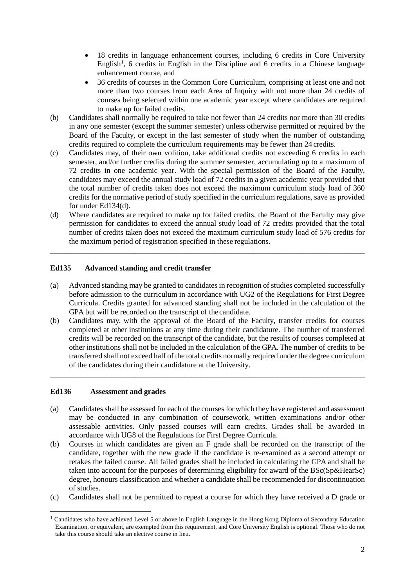- 18 credits in language enhancement courses, including 6 credits in Core University English<sup>[1](#page-1-0)</sup>, 6 credits in English in the Discipline and 6 credits in a Chinese language enhancement course, and
- 36 credits of courses in the Common Core Curriculum, comprising at least one and not more than two courses from each Area of Inquiry with not more than 24 credits of courses being selected within one academic year except where candidates are required to make up for failed credits.
- (b) Candidates shall normally be required to take not fewer than 24 credits nor more than 30 credits in any one semester (except the summer semester) unless otherwise permitted or required by the Board of the Faculty, or except in the last semester of study when the number of outstanding credits required to complete the curriculum requirements may be fewer than 24 credits.
- (c) Candidates may, of their own volition, take additional credits not exceeding 6 credits in each semester, and/or further credits during the summer semester, accumulating up to a maximum of 72 credits in one academic year. With the special permission of the Board of the Faculty, candidates may exceed the annual study load of 72 credits in a given academic year provided that the total number of credits taken does not exceed the maximum curriculum study load of 360 credits for the normative period of study specified in the curriculum regulations, save as provided for under Ed134(d).
- (d) Where candidates are required to make up for failed credits, the Board of the Faculty may give permission for candidates to exceed the annual study load of 72 credits provided that the total number of credits taken does not exceed the maximum curriculum study load of 576 credits for the maximum period of registration specified in these regulations.

\_\_\_\_\_\_\_\_\_\_\_\_\_\_\_\_\_\_\_\_\_\_\_\_\_\_\_\_\_\_\_\_\_\_\_\_\_\_\_\_\_\_\_\_\_\_\_\_\_\_\_\_\_\_\_\_\_\_\_\_\_\_\_\_\_\_\_\_\_\_\_\_\_\_\_\_\_\_\_\_\_\_

# **Ed135 Advanced standing and credit transfer**

- (a) Advanced standing may be granted to candidates in recognition of studies completed successfully before admission to the curriculum in accordance with UG2 of the Regulations for First Degree Curricula. Credits granted for advanced standing shall not be included in the calculation of the GPA but will be recorded on the transcript of thecandidate.
- (b) Candidates may, with the approval of the Board of the Faculty, transfer credits for courses completed at other institutions at any time during their candidature. The number of transferred credits will be recorded on the transcript of the candidate, but the results of courses completed at other institutions shall not be included in the calculation of the GPA. The number of credits to be transferred shall not exceed half of the total credits normally required under the degree curriculum of the candidates during their candidature at the University.

\_\_\_\_\_\_\_\_\_\_\_\_\_\_\_\_\_\_\_\_\_\_\_\_\_\_\_\_\_\_\_\_\_\_\_\_\_\_\_\_\_\_\_\_\_\_\_\_\_\_\_\_\_\_\_\_\_\_\_\_\_\_\_\_\_\_\_\_\_\_\_\_\_\_\_\_\_\_\_\_\_\_

## **Ed136 Assessment and grades**

- (a) Candidates shall be assessed for each of the courses for which they have registered and assessment may be conducted in any combination of coursework, written examinations and/or other assessable activities. Only passed courses will earn credits. Grades shall be awarded in accordance with UG8 of the Regulations for First Degree Curricula.
- (b) Courses in which candidates are given an F grade shall be recorded on the transcript of the candidate, together with the new grade if the candidate is re-examined as a second attempt or retakes the failed course. All failed grades shall be included in calculating the GPA and shall be taken into account for the purposes of determining eligibility for award of the BSc(Sp&HearSc) degree, honours classification and whether a candidate shall be recommended for discontinuation of studies.
- (c) Candidates shall not be permitted to repeat a course for which they have received a D grade or

<span id="page-1-0"></span><sup>&</sup>lt;sup>1</sup> Candidates who have achieved Level 5 or above in English Language in the Hong Kong Diploma of Secondary Education Examination, or equivalent, are exempted from this requirement, and Core University English is optional. Those who do not take this course should take an elective course in lieu.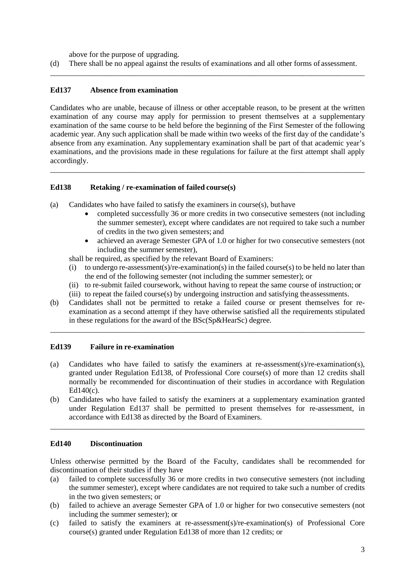above for the purpose of upgrading.

(d) There shall be no appeal against the results of examinations and all other forms of assessment. \_\_\_\_\_\_\_\_\_\_\_\_\_\_\_\_\_\_\_\_\_\_\_\_\_\_\_\_\_\_\_\_\_\_\_\_\_\_\_\_\_\_\_\_\_\_\_\_\_\_\_\_\_\_\_\_\_\_\_\_\_\_\_\_\_\_\_\_\_\_\_\_\_\_\_\_\_\_\_\_\_\_

# **Ed137 Absence from examination**

Candidates who are unable, because of illness or other acceptable reason, to be present at the written examination of any course may apply for permission to present themselves at a supplementary examination of the same course to be held before the beginning of the First Semester of the following academic year. Any such application shall be made within two weeks of the first day of the candidate's absence from any examination. Any supplementary examination shall be part of that academic year's examinations, and the provisions made in these regulations for failure at the first attempt shall apply accordingly.

\_\_\_\_\_\_\_\_\_\_\_\_\_\_\_\_\_\_\_\_\_\_\_\_\_\_\_\_\_\_\_\_\_\_\_\_\_\_\_\_\_\_\_\_\_\_\_\_\_\_\_\_\_\_\_\_\_\_\_\_\_\_\_\_\_\_\_\_\_\_\_\_\_\_\_\_\_\_\_\_\_\_

# **Ed138 Retaking / re-examination of failed course(s)**

- (a) Candidates who have failed to satisfy the examiners in course(s), buthave
	- completed successfully 36 or more credits in two consecutive semesters (not including the summer semester), except where candidates are not required to take such a number of credits in the two given semesters; and
	- achieved an average Semester GPA of 1.0 or higher for two consecutive semesters (not including the summer semester),
	- shall be required, as specified by the relevant Board of Examiners:
	- (i) to undergo re-assessment(s)/re-examination(s) in the failed course(s) to be held no later than the end of the following semester (not including the summer semester); or
	- (ii) to re-submit failed coursework, without having to repeat the same course of instruction; or
	- (iii) to repeat the failed course(s) by undergoing instruction and satisfying theassessments.
- (b) Candidates shall not be permitted to retake a failed course or present themselves for reexamination as a second attempt if they have otherwise satisfied all the requirements stipulated in these regulations for the award of the BSc(Sp&HearSc) degree.

\_\_\_\_\_\_\_\_\_\_\_\_\_\_\_\_\_\_\_\_\_\_\_\_\_\_\_\_\_\_\_\_\_\_\_\_\_\_\_\_\_\_\_\_\_\_\_\_\_\_\_\_\_\_\_\_\_\_\_\_\_\_\_\_\_\_\_\_\_\_\_\_\_\_\_\_\_\_\_\_\_\_

# **Ed139 Failure in re-examination**

- (a) Candidates who have failed to satisfy the examiners at re-assessment(s)/re-examination(s), granted under Regulation Ed138, of Professional Core course(s) of more than 12 credits shall normally be recommended for discontinuation of their studies in accordance with Regulation Ed140(c).
- (b) Candidates who have failed to satisfy the examiners at a supplementary examination granted under Regulation Ed137 shall be permitted to present themselves for re-assessment, in accordance with Ed138 as directed by the Board of Examiners.

\_\_\_\_\_\_\_\_\_\_\_\_\_\_\_\_\_\_\_\_\_\_\_\_\_\_\_\_\_\_\_\_\_\_\_\_\_\_\_\_\_\_\_\_\_\_\_\_\_\_\_\_\_\_\_\_\_\_\_\_\_\_\_\_\_\_\_\_\_\_\_\_\_\_\_\_\_\_\_\_\_\_

## **Ed140 Discontinuation**

Unless otherwise permitted by the Board of the Faculty, candidates shall be recommended for discontinuation of their studies if they have

- (a) failed to complete successfully 36 or more credits in two consecutive semesters (not including the summer semester), except where candidates are not required to take such a number of credits in the two given semesters; or
- (b) failed to achieve an average Semester GPA of 1.0 or higher for two consecutive semesters (not including the summer semester); or
- (c) failed to satisfy the examiners at re-assessment(s)/re-examination(s) of Professional Core course(s) granted under Regulation Ed138 of more than 12 credits; or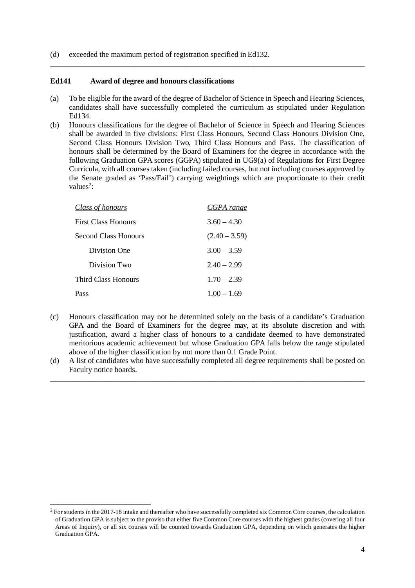(d) exceeded the maximum period of registration specified in Ed132.

#### **Ed141 Award of degree and honours classifications**

(a) To be eligible for the award of the degree of Bachelor of Science in Speech and Hearing Sciences, candidates shall have successfully completed the curriculum as stipulated under Regulation Ed134.

\_\_\_\_\_\_\_\_\_\_\_\_\_\_\_\_\_\_\_\_\_\_\_\_\_\_\_\_\_\_\_\_\_\_\_\_\_\_\_\_\_\_\_\_\_\_\_\_\_\_\_\_\_\_\_\_\_\_\_\_\_\_\_\_\_\_\_\_\_\_\_\_\_\_\_\_\_\_\_\_\_\_

(b) Honours classifications for the degree of Bachelor of Science in Speech and Hearing Sciences shall be awarded in five divisions: First Class Honours, Second Class Honours Division One, Second Class Honours Division Two, Third Class Honours and Pass. The classification of honours shall be determined by the Board of Examiners for the degree in accordance with the following Graduation GPA scores (GGPA) stipulated in UG9(a) of Regulations for First Degree Curricula, with all courses taken (including failed courses, but not including courses approved by the Senate graded as 'Pass/Fail') carrying weightings which are proportionate to their credit values<sup>[2](#page-3-0)</sup>:

| Class of honours           | CGPA range      |
|----------------------------|-----------------|
| <b>First Class Honours</b> | $3.60 - 4.30$   |
| Second Class Honours       | $(2.40 - 3.59)$ |
| Division One               | $3.00 - 3.59$   |
| Division Two               | $2.40 - 2.99$   |
| <b>Third Class Honours</b> | $1.70 - 2.39$   |
| Pass                       | $1.00 - 1.69$   |

- (c) Honours classification may not be determined solely on the basis of a candidate's Graduation GPA and the Board of Examiners for the degree may, at its absolute discretion and with justification, award a higher class of honours to a candidate deemed to have demonstrated meritorious academic achievement but whose Graduation GPA falls below the range stipulated above of the higher classification by not more than 0.1 Grade Point.
- (d) A list of candidates who have successfully completed all degree requirements shall be posted on Faculty notice boards. \_\_\_\_\_\_\_\_\_\_\_\_\_\_\_\_\_\_\_\_\_\_\_\_\_\_\_\_\_\_\_\_\_\_\_\_\_\_\_\_\_\_\_\_\_\_\_\_\_\_\_\_\_\_\_\_\_\_\_\_\_\_\_\_\_\_\_\_\_\_\_\_\_\_\_\_\_\_\_\_\_\_

<span id="page-3-0"></span> $2$  For students in the 2017-18 intake and thereafter who have successfully completed six Common Core courses, the calculation of Graduation GPA is subject to the proviso that either five Common Core courses with the highest grades (covering all four Areas of Inquiry), or all six courses will be counted towards Graduation GPA, depending on which generates the higher Graduation GPA.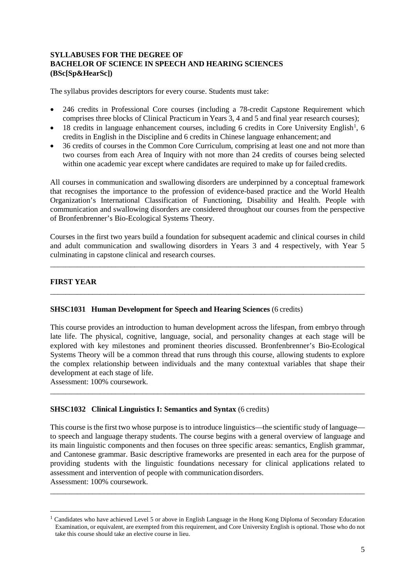# **SYLLABUSES FOR THE DEGREE OF BACHELOR OF SCIENCE IN SPEECH AND HEARING SCIENCES (BSc[Sp&HearSc])**

The syllabus provides descriptors for every course. Students must take:

- 246 credits in Professional Core courses (including a 78-credit Capstone Requirement which comprises three blocks of Clinical Practicum in Years 3, 4 and 5 and final year research courses);
- [1](#page-4-0)8 credits in language enhancement courses, including 6 credits in Core University English<sup>1</sup>, 6 credits in English in the Discipline and 6 credits in Chinese language enhancement; and
- 36 credits of courses in the Common Core Curriculum, comprising at least one and not more than two courses from each Area of Inquiry with not more than 24 credits of courses being selected within one academic year except where candidates are required to make up for failed credits.

All courses in communication and swallowing disorders are underpinned by a conceptual framework that recognises the importance to the profession of evidence-based practice and the World Health Organization's International Classification of Functioning, Disability and Health. People with communication and swallowing disorders are considered throughout our courses from the perspective of Bronfenbrenner's Bio-Ecological Systems Theory.

Courses in the first two years build a foundation for subsequent academic and clinical courses in child and adult communication and swallowing disorders in Years 3 and 4 respectively, with Year 5 culminating in capstone clinical and research courses.

\_\_\_\_\_\_\_\_\_\_\_\_\_\_\_\_\_\_\_\_\_\_\_\_\_\_\_\_\_\_\_\_\_\_\_\_\_\_\_\_\_\_\_\_\_\_\_\_\_\_\_\_\_\_\_\_\_\_\_\_\_\_\_\_\_\_\_\_\_\_\_\_\_\_\_\_\_\_\_\_\_\_

\_\_\_\_\_\_\_\_\_\_\_\_\_\_\_\_\_\_\_\_\_\_\_\_\_\_\_\_\_\_\_\_\_\_\_\_\_\_\_\_\_\_\_\_\_\_\_\_\_\_\_\_\_\_\_\_\_\_\_\_\_\_\_\_\_\_\_\_\_\_\_\_\_\_\_\_\_\_\_\_\_\_

# **FIRST YEAR**

## **SHSC1031 Human Development for Speech and Hearing Sciences** (6 credits)

This course provides an introduction to human development across the lifespan, from embryo through late life. The physical, cognitive, language, social, and personality changes at each stage will be explored with key milestones and prominent theories discussed. Bronfenbrenner's Bio-Ecological Systems Theory will be a common thread that runs through this course, allowing students to explore the complex relationship between individuals and the many contextual variables that shape their development at each stage of life.

\_\_\_\_\_\_\_\_\_\_\_\_\_\_\_\_\_\_\_\_\_\_\_\_\_\_\_\_\_\_\_\_\_\_\_\_\_\_\_\_\_\_\_\_\_\_\_\_\_\_\_\_\_\_\_\_\_\_\_\_\_\_\_\_\_\_\_\_\_\_\_\_\_\_\_\_\_\_\_\_\_\_

Assessment: 100% coursework.

## **SHSC1032 Clinical Linguistics I: Semantics and Syntax** (6 credits)

This course is the first two whose purpose is to introduce linguistics—the scientific study of language to speech and language therapy students. The course begins with a general overview of language and its main linguistic components and then focuses on three specific areas: semantics, English grammar, and Cantonese grammar. Basic descriptive frameworks are presented in each area for the purpose of providing students with the linguistic foundations necessary for clinical applications related to assessment and intervention of people with communication disorders. Assessment: 100% coursework.

<span id="page-4-0"></span><sup>1</sup> Candidates who have achieved Level 5 or above in English Language in the Hong Kong Diploma of Secondary Education Examination, or equivalent, are exempted from this requirement, and Core University English is optional. Those who do not take this course should take an elective course in lieu.

\_\_\_\_\_\_\_\_\_\_\_\_\_\_\_\_\_\_\_\_\_\_\_\_\_\_\_\_\_\_\_\_\_\_\_\_\_\_\_\_\_\_\_\_\_\_\_\_\_\_\_\_\_\_\_\_\_\_\_\_\_\_\_\_\_\_\_\_\_\_\_\_\_\_\_\_\_\_\_\_\_\_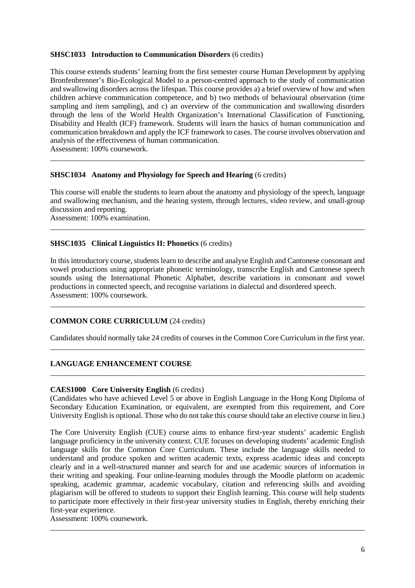## **SHSC1033 Introduction to Communication Disorders** (6 credits)

This course extends students' learning from the first semester course Human Development by applying Bronfenbrenner's Bio-Ecological Model to a person-centred approach to the study of communication and swallowing disorders across the lifespan. This course provides a) a brief overview of how and when children achieve communication competence, and b) two methods of behavioural observation (time sampling and item sampling), and  $c)$  an overview of the communication and swallowing disorders through the lens of the World Health Organization's International Classification of Functioning, Disability and Health (ICF) framework. Students will learn the basics of human communication and communication breakdown and apply the ICF framework to cases. The course involves observation and analysis of the effectiveness of human communication.

Assessment: 100% coursework.

## **SHSC1034 Anatomy and Physiology for Speech and Hearing** (6 credits)

This course will enable the students to learn about the anatomy and physiology of the speech, language and swallowing mechanism, and the hearing system, through lectures, video review, and small-group discussion and reporting.

\_\_\_\_\_\_\_\_\_\_\_\_\_\_\_\_\_\_\_\_\_\_\_\_\_\_\_\_\_\_\_\_\_\_\_\_\_\_\_\_\_\_\_\_\_\_\_\_\_\_\_\_\_\_\_\_\_\_\_\_\_\_\_\_\_\_\_\_\_\_\_\_\_\_\_\_\_\_\_\_\_\_

\_\_\_\_\_\_\_\_\_\_\_\_\_\_\_\_\_\_\_\_\_\_\_\_\_\_\_\_\_\_\_\_\_\_\_\_\_\_\_\_\_\_\_\_\_\_\_\_\_\_\_\_\_\_\_\_\_\_\_\_\_\_\_\_\_\_\_\_\_\_\_\_\_\_\_\_\_\_\_\_\_\_

Assessment: 100% examination.

## **SHSC1035 Clinical Linguistics II: Phonetics** (6 credits)

In this introductory course, students learn to describe and analyse English and Cantonese consonant and vowel productions using appropriate phonetic terminology, transcribe English and Cantonese speech sounds using the International Phonetic Alphabet, describe variations in consonant and vowel productions in connected speech, and recognise variations in dialectal and disordered speech. Assessment: 100% coursework.

\_\_\_\_\_\_\_\_\_\_\_\_\_\_\_\_\_\_\_\_\_\_\_\_\_\_\_\_\_\_\_\_\_\_\_\_\_\_\_\_\_\_\_\_\_\_\_\_\_\_\_\_\_\_\_\_\_\_\_\_\_\_\_\_\_\_\_\_\_\_\_\_\_\_\_\_\_\_\_\_\_\_

## **COMMON CORE CURRICULUM** (24 credits)

Candidates should normally take 24 credits of courses in the Common Core Curriculum in the first year. \_\_\_\_\_\_\_\_\_\_\_\_\_\_\_\_\_\_\_\_\_\_\_\_\_\_\_\_\_\_\_\_\_\_\_\_\_\_\_\_\_\_\_\_\_\_\_\_\_\_\_\_\_\_\_\_\_\_\_\_\_\_\_\_\_\_\_\_\_\_\_\_\_\_\_\_\_\_\_\_\_\_

\_\_\_\_\_\_\_\_\_\_\_\_\_\_\_\_\_\_\_\_\_\_\_\_\_\_\_\_\_\_\_\_\_\_\_\_\_\_\_\_\_\_\_\_\_\_\_\_\_\_\_\_\_\_\_\_\_\_\_\_\_\_\_\_\_\_\_\_\_\_\_\_\_\_\_\_\_\_\_\_\_\_

## **LANGUAGE ENHANCEMENT COURSE**

#### **CAES1000 Core University English** (6 credits)

(Candidates who have achieved Level 5 or above in English Language in the Hong Kong Diploma of Secondary Education Examination, or equivalent, are exempted from this requirement, and Core University English is optional. Those who do not take this course should take an elective course in lieu.)

The Core University English (CUE) course aims to enhance first-year students' academic English language proficiency in the university context. CUE focuses on developing students' academic English language skills for the Common Core Curriculum. These include the language skills needed to understand and produce spoken and written academic texts, express academic ideas and concepts clearly and in a well-structured manner and search for and use academic sources of information in their writing and speaking. Four online-learning modules through the Moodle platform on academic speaking, academic grammar, academic vocabulary, citation and referencing skills and avoiding plagiarism will be offered to students to support their English learning. This course will help students to participate more effectively in their first-year university studies in English, thereby enriching their first-year experience.

\_\_\_\_\_\_\_\_\_\_\_\_\_\_\_\_\_\_\_\_\_\_\_\_\_\_\_\_\_\_\_\_\_\_\_\_\_\_\_\_\_\_\_\_\_\_\_\_\_\_\_\_\_\_\_\_\_\_\_\_\_\_\_\_\_\_\_\_\_\_\_\_\_\_\_\_\_\_\_\_\_\_

Assessment: 100% coursework.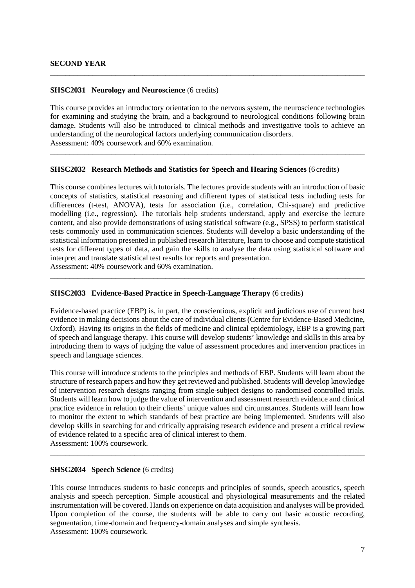#### **SHSC2031 Neurology and Neuroscience** (6 credits)

This course provides an introductory orientation to the nervous system, the neuroscience technologies for examining and studying the brain, and a background to neurological conditions following brain damage. Students will also be introduced to clinical methods and investigative tools to achieve an understanding of the neurological factors underlying communication disorders. Assessment: 40% coursework and 60% examination.

\_\_\_\_\_\_\_\_\_\_\_\_\_\_\_\_\_\_\_\_\_\_\_\_\_\_\_\_\_\_\_\_\_\_\_\_\_\_\_\_\_\_\_\_\_\_\_\_\_\_\_\_\_\_\_\_\_\_\_\_\_\_\_\_\_\_\_\_\_\_\_\_\_\_\_\_\_\_\_\_\_\_

\_\_\_\_\_\_\_\_\_\_\_\_\_\_\_\_\_\_\_\_\_\_\_\_\_\_\_\_\_\_\_\_\_\_\_\_\_\_\_\_\_\_\_\_\_\_\_\_\_\_\_\_\_\_\_\_\_\_\_\_\_\_\_\_\_\_\_\_\_\_\_\_\_\_\_\_\_\_\_\_\_\_

#### **SHSC2032 Research Methods and Statistics for Speech and Hearing Sciences** (6 credits)

This course combines lectures with tutorials. The lectures provide students with an introduction of basic concepts of statistics, statistical reasoning and different types of statistical tests including tests for differences (t-test, ANOVA), tests for association (i.e., correlation, Chi-square) and predictive modelling (i.e., regression). The tutorials help students understand, apply and exercise the lecture content, and also provide demonstrations of using statistical software (e.g., SPSS) to perform statistical tests commonly used in communication sciences. Students will develop a basic understanding of the statistical information presented in published research literature, learn to choose and compute statistical tests for different types of data, and gain the skills to analyse the data using statistical software and interpret and translate statistical test results for reports and presentation.

\_\_\_\_\_\_\_\_\_\_\_\_\_\_\_\_\_\_\_\_\_\_\_\_\_\_\_\_\_\_\_\_\_\_\_\_\_\_\_\_\_\_\_\_\_\_\_\_\_\_\_\_\_\_\_\_\_\_\_\_\_\_\_\_\_\_\_\_\_\_\_\_\_\_\_\_\_\_\_\_\_\_

Assessment: 40% coursework and 60% examination.

#### **SHSC2033 Evidence-Based Practice in Speech-Language Therapy** (6 credits)

Evidence-based practice (EBP) is, in part, the conscientious, explicit and judicious use of current best evidence in making decisions about the care of individual clients (Centre for Evidence-Based Medicine, Oxford). Having its origins in the fields of medicine and clinical epidemiology, EBP is a growing part of speech and language therapy. This course will develop students' knowledge and skills in this area by introducing them to ways of judging the value of assessment procedures and intervention practices in speech and language sciences.

This course will introduce students to the principles and methods of EBP. Students will learn about the structure of research papers and how they get reviewed and published. Students will develop knowledge of intervention research designs ranging from single-subject designs to randomised controlled trials. Students will learn how to judge the value of intervention and assessment research evidence and clinical practice evidence in relation to their clients' unique values and circumstances. Students will learn how to monitor the extent to which standards of best practice are being implemented. Students will also develop skills in searching for and critically appraising research evidence and present a critical review of evidence related to a specific area of clinical interest to them.

\_\_\_\_\_\_\_\_\_\_\_\_\_\_\_\_\_\_\_\_\_\_\_\_\_\_\_\_\_\_\_\_\_\_\_\_\_\_\_\_\_\_\_\_\_\_\_\_\_\_\_\_\_\_\_\_\_\_\_\_\_\_\_\_\_\_\_\_\_\_\_\_\_\_\_\_\_\_\_\_\_\_

Assessment: 100% coursework.

# **SHSC2034 Speech Science** (6 credits)

This course introduces students to basic concepts and principles of sounds, speech acoustics, speech analysis and speech perception. Simple acoustical and physiological measurements and the related instrumentation will be covered. Hands on experience on data acquisition and analyses will be provided. Upon completion of the course, the students will be able to carry out basic acoustic recording, segmentation, time-domain and frequency-domain analyses and simple synthesis. Assessment: 100% coursework.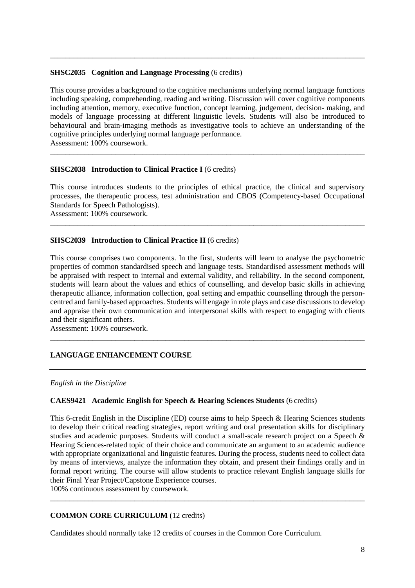#### **SHSC2035 Cognition and Language Processing** (6 credits)

This course provides a background to the cognitive mechanisms underlying normal language functions including speaking, comprehending, reading and writing. Discussion will cover cognitive components including attention, memory, executive function, concept learning, judgement, decision- making, and models of language processing at different linguistic levels. Students will also be introduced to behavioural and brain-imaging methods as investigative tools to achieve an understanding of the cognitive principles underlying normal language performance. Assessment: 100% coursework.

\_\_\_\_\_\_\_\_\_\_\_\_\_\_\_\_\_\_\_\_\_\_\_\_\_\_\_\_\_\_\_\_\_\_\_\_\_\_\_\_\_\_\_\_\_\_\_\_\_\_\_\_\_\_\_\_\_\_\_\_\_\_\_\_\_\_\_\_\_\_\_\_\_\_\_\_\_\_\_\_\_\_

\_\_\_\_\_\_\_\_\_\_\_\_\_\_\_\_\_\_\_\_\_\_\_\_\_\_\_\_\_\_\_\_\_\_\_\_\_\_\_\_\_\_\_\_\_\_\_\_\_\_\_\_\_\_\_\_\_\_\_\_\_\_\_\_\_\_\_\_\_\_\_\_\_\_\_\_\_\_\_\_\_\_

## **SHSC2038** Introduction to Clinical Practice I (6 credits)

This course introduces students to the principles of ethical practice, the clinical and supervisory processes, the therapeutic process, test administration and CBOS (Competency-based Occupational Standards for Speech Pathologists).

\_\_\_\_\_\_\_\_\_\_\_\_\_\_\_\_\_\_\_\_\_\_\_\_\_\_\_\_\_\_\_\_\_\_\_\_\_\_\_\_\_\_\_\_\_\_\_\_\_\_\_\_\_\_\_\_\_\_\_\_\_\_\_\_\_\_\_\_\_\_\_\_\_\_\_\_\_\_\_\_\_\_

Assessment: 100% coursework.

#### **SHSC2039 Introduction to Clinical Practice II** (6 credits)

This course comprises two components. In the first, students will learn to analyse the psychometric properties of common standardised speech and language tests. Standardised assessment methods will be appraised with respect to internal and external validity, and reliability. In the second component, students will learn about the values and ethics of counselling, and develop basic skills in achieving therapeutic alliance, information collection, goal setting and empathic counselling through the personcentred and family-based approaches. Students will engage in role plays and case discussions to develop and appraise their own communication and interpersonal skills with respect to engaging with clients and their significant others.

\_\_\_\_\_\_\_\_\_\_\_\_\_\_\_\_\_\_\_\_\_\_\_\_\_\_\_\_\_\_\_\_\_\_\_\_\_\_\_\_\_\_\_\_\_\_\_\_\_\_\_\_\_\_\_\_\_\_\_\_\_\_\_\_\_\_\_\_\_\_\_\_\_\_\_\_\_\_\_\_\_\_

Assessment: 100% coursework.

# **LANGUAGE ENHANCEMENT COURSE**

*English in the Discipline*

# **CAES9421 Academic English for Speech & Hearing Sciences Students** (6 credits)

This 6-credit English in the Discipline (ED) course aims to help Speech & Hearing Sciences students to develop their critical reading strategies, report writing and oral presentation skills for disciplinary studies and academic purposes. Students will conduct a small-scale research project on a Speech & Hearing Sciences-related topic of their choice and communicate an argument to an academic audience with appropriate organizational and linguistic features. During the process, students need to collect data by means of interviews, analyze the information they obtain, and present their findings orally and in formal report writing. The course will allow students to practice relevant English language skills for their Final Year Project/Capstone Experience courses.

100% continuous assessment by coursework. \_\_\_\_\_\_\_\_\_\_\_\_\_\_\_\_\_\_\_\_\_\_\_\_\_\_\_\_\_\_\_\_\_\_\_\_\_\_\_\_\_\_\_\_\_\_\_\_\_\_\_\_\_\_\_\_\_\_\_\_\_\_\_\_\_\_\_\_\_\_\_\_\_\_\_\_\_\_\_\_\_\_

## **COMMON CORE CURRICULUM** (12 credits)

Candidates should normally take 12 credits of courses in the Common Core Curriculum.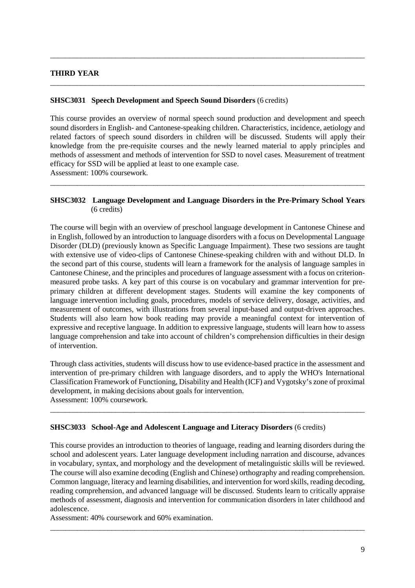# **THIRD YEAR**

## **SHSC3031 Speech Development and Speech Sound Disorders** (6 credits)

This course provides an overview of normal speech sound production and development and speech sound disorders in English- and Cantonese-speaking children. Characteristics, incidence, aetiology and related factors of speech sound disorders in children will be discussed. Students will apply their knowledge from the pre-requisite courses and the newly learned material to apply principles and methods of assessment and methods of intervention for SSD to novel cases. Measurement of treatment efficacy for SSD will be applied at least to one example case. Assessment: 100% coursework.

\_\_\_\_\_\_\_\_\_\_\_\_\_\_\_\_\_\_\_\_\_\_\_\_\_\_\_\_\_\_\_\_\_\_\_\_\_\_\_\_\_\_\_\_\_\_\_\_\_\_\_\_\_\_\_\_\_\_\_\_\_\_\_\_\_\_\_\_\_\_\_\_\_\_\_\_\_\_\_\_\_\_

\_\_\_\_\_\_\_\_\_\_\_\_\_\_\_\_\_\_\_\_\_\_\_\_\_\_\_\_\_\_\_\_\_\_\_\_\_\_\_\_\_\_\_\_\_\_\_\_\_\_\_\_\_\_\_\_\_\_\_\_\_\_\_\_\_\_\_\_\_\_\_\_\_\_\_\_\_\_\_\_\_\_

# **SHSC3032 Language Development and Language Disorders in the Pre-Primary School Years** (6 credits)

\_\_\_\_\_\_\_\_\_\_\_\_\_\_\_\_\_\_\_\_\_\_\_\_\_\_\_\_\_\_\_\_\_\_\_\_\_\_\_\_\_\_\_\_\_\_\_\_\_\_\_\_\_\_\_\_\_\_\_\_\_\_\_\_\_\_\_\_\_\_\_\_\_\_\_\_\_\_\_\_\_\_

The course will begin with an overview of preschool language development in Cantonese Chinese and in English, followed by an introduction to language disorders with a focus on Developmental Language Disorder (DLD) (previously known as Specific Language Impairment). These two sessions are taught with extensive use of video-clips of Cantonese Chinese-speaking children with and without DLD. In the second part of this course, students will learn a framework for the analysis of language samples in Cantonese Chinese, and the principles and procedures of language assessment with a focus on criterionmeasured probe tasks. A key part of this course is on vocabulary and grammar intervention for preprimary children at different development stages. Students will examine the key components of language intervention including goals, procedures, models of service delivery, dosage, activities, and measurement of outcomes, with illustrations from several input-based and output-driven approaches. Students will also learn how book reading may provide a meaningful context for intervention of expressive and receptive language. In addition to expressive language, students will learn how to assess language comprehension and take into account of children's comprehension difficulties in their design of intervention.

Through class activities, students will discuss how to use evidence-based practice in the assessment and intervention of pre-primary children with language disorders, and to apply the WHO's International Classification Framework of Functioning, Disability and Health (ICF) and Vygotsky's zone of proximal development, in making decisions about goals for intervention. Assessment: 100% coursework.

\_\_\_\_\_\_\_\_\_\_\_\_\_\_\_\_\_\_\_\_\_\_\_\_\_\_\_\_\_\_\_\_\_\_\_\_\_\_\_\_\_\_\_\_\_\_\_\_\_\_\_\_\_\_\_\_\_\_\_\_\_\_\_\_\_\_\_\_\_\_\_\_\_\_\_\_\_\_\_\_\_\_

## **SHSC3033 School-Age and Adolescent Language and Literacy Disorders** (6 credits)

This course provides an introduction to theories of language, reading and learning disorders during the school and adolescent years. Later language development including narration and discourse, advances in vocabulary, syntax, and morphology and the development of metalinguistic skills will be reviewed. The course will also examine decoding (English and Chinese) orthography and reading comprehension. Common language, literacy and learning disabilities, and intervention for word skills, reading decoding, reading comprehension, and advanced language will be discussed. Students learn to critically appraise methods of assessment, diagnosis and intervention for communication disorders in later childhood and adolescence.

\_\_\_\_\_\_\_\_\_\_\_\_\_\_\_\_\_\_\_\_\_\_\_\_\_\_\_\_\_\_\_\_\_\_\_\_\_\_\_\_\_\_\_\_\_\_\_\_\_\_\_\_\_\_\_\_\_\_\_\_\_\_\_\_\_\_\_\_\_\_\_\_\_\_\_\_\_\_\_\_\_\_

Assessment: 40% coursework and 60% examination.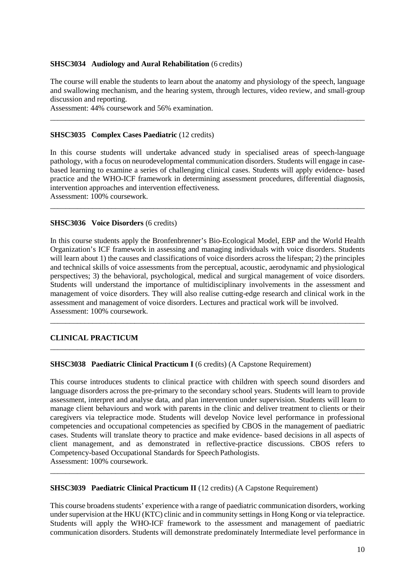## **SHSC3034 Audiology and Aural Rehabilitation** (6 credits)

The course will enable the students to learn about the anatomy and physiology of the speech, language and swallowing mechanism, and the hearing system, through lectures, video review, and small-group discussion and reporting.

\_\_\_\_\_\_\_\_\_\_\_\_\_\_\_\_\_\_\_\_\_\_\_\_\_\_\_\_\_\_\_\_\_\_\_\_\_\_\_\_\_\_\_\_\_\_\_\_\_\_\_\_\_\_\_\_\_\_\_\_\_\_\_\_\_\_\_\_\_\_\_\_\_\_\_\_\_\_\_\_\_\_

Assessment: 44% coursework and 56% examination.

#### **SHSC3035 Complex Cases Paediatric (12 credits)**

In this course students will undertake advanced study in specialised areas of speech-language pathology, with a focus on neurodevelopmental communication disorders. Students will engage in casebased learning to examine a series of challenging clinical cases. Students will apply evidence- based practice and the WHO-ICF framework in determining assessment procedures, differential diagnosis, intervention approaches and intervention effectiveness.

\_\_\_\_\_\_\_\_\_\_\_\_\_\_\_\_\_\_\_\_\_\_\_\_\_\_\_\_\_\_\_\_\_\_\_\_\_\_\_\_\_\_\_\_\_\_\_\_\_\_\_\_\_\_\_\_\_\_\_\_\_\_\_\_\_\_\_\_\_\_\_\_\_\_\_\_\_\_\_\_\_\_

Assessment: 100% coursework.

#### **SHSC3036 Voice Disorders** (6 credits)

In this course students apply the Bronfenbrenner's Bio-Ecological Model, EBP and the World Health Organization's ICF framework in assessing and managing individuals with voice disorders. Students will learn about 1) the causes and classifications of voice disorders across the lifespan; 2) the principles and technical skills of voice assessments from the perceptual, acoustic, aerodynamic and physiological perspectives; 3) the behavioral, psychological, medical and surgical management of voice disorders. Students will understand the importance of multidisciplinary involvements in the assessment and management of voice disorders. They will also realise cutting-edge research and clinical work in the assessment and management of voice disorders. Lectures and practical work will be involved. Assessment: 100% coursework.

\_\_\_\_\_\_\_\_\_\_\_\_\_\_\_\_\_\_\_\_\_\_\_\_\_\_\_\_\_\_\_\_\_\_\_\_\_\_\_\_\_\_\_\_\_\_\_\_\_\_\_\_\_\_\_\_\_\_\_\_\_\_\_\_\_\_\_\_\_\_\_\_\_\_\_\_\_\_\_\_\_\_

\_\_\_\_\_\_\_\_\_\_\_\_\_\_\_\_\_\_\_\_\_\_\_\_\_\_\_\_\_\_\_\_\_\_\_\_\_\_\_\_\_\_\_\_\_\_\_\_\_\_\_\_\_\_\_\_\_\_\_\_\_\_\_\_\_\_\_\_\_\_\_\_\_\_\_\_\_\_\_\_\_\_

## **CLINICAL PRACTICUM**

#### **SHSC3038 Paediatric Clinical Practicum I** (6 credits) (A Capstone Requirement)

This course introduces students to clinical practice with children with speech sound disorders and language disorders across the pre-primary to the secondary school years. Students will learn to provide assessment, interpret and analyse data, and plan intervention under supervision. Students will learn to manage client behaviours and work with parents in the clinic and deliver treatment to clients or their caregivers via telepractice mode. Students will develop Novice level performance in professional competencies and occupational competencies as specified by CBOS in the management of paediatric cases. Students will translate theory to practice and make evidence- based decisions in all aspects of client management, and as demonstrated in reflective-practice discussions. CBOS refers to Competency-based Occupational Standards for Speech Pathologists. Assessment: 100% coursework.

#### **SHSC3039 Paediatric Clinical Practicum II** (12 credits) (A Capstone Requirement)

This course broadens students' experience with a range of paediatric communication disorders, working under supervision at the HKU (KTC) clinic and in community settings in Hong Kong or via telepractice. Students will apply the WHO-ICF framework to the assessment and management of paediatric communication disorders. Students will demonstrate predominately Intermediate level performance in

\_\_\_\_\_\_\_\_\_\_\_\_\_\_\_\_\_\_\_\_\_\_\_\_\_\_\_\_\_\_\_\_\_\_\_\_\_\_\_\_\_\_\_\_\_\_\_\_\_\_\_\_\_\_\_\_\_\_\_\_\_\_\_\_\_\_\_\_\_\_\_\_\_\_\_\_\_\_\_\_\_\_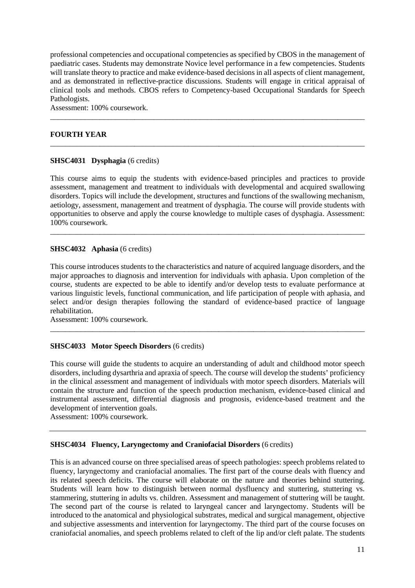professional competencies and occupational competencies as specified by CBOS in the management of paediatric cases. Students may demonstrate Novice level performance in a few competencies. Students will translate theory to practice and make evidence-based decisions in all aspects of client management, and as demonstrated in reflective-practice discussions. Students will engage in critical appraisal of clinical tools and methods. CBOS refers to Competency-based Occupational Standards for Speech Pathologists.

\_\_\_\_\_\_\_\_\_\_\_\_\_\_\_\_\_\_\_\_\_\_\_\_\_\_\_\_\_\_\_\_\_\_\_\_\_\_\_\_\_\_\_\_\_\_\_\_\_\_\_\_\_\_\_\_\_\_\_\_\_\_\_\_\_\_\_\_\_\_\_\_\_\_\_\_\_\_\_\_\_\_

\_\_\_\_\_\_\_\_\_\_\_\_\_\_\_\_\_\_\_\_\_\_\_\_\_\_\_\_\_\_\_\_\_\_\_\_\_\_\_\_\_\_\_\_\_\_\_\_\_\_\_\_\_\_\_\_\_\_\_\_\_\_\_\_\_\_\_\_\_\_\_\_\_\_\_\_\_\_\_\_\_\_

Assessment: 100% coursework.

# **FOURTH YEAR**

#### **SHSC4031 Dysphagia** (6 credits)

This course aims to equip the students with evidence-based principles and practices to provide assessment, management and treatment to individuals with developmental and acquired swallowing disorders. Topics will include the development, structures and functions of the swallowing mechanism, aetiology, assessment, management and treatment of dysphagia. The course will provide students with opportunities to observe and apply the course knowledge to multiple cases of dysphagia. Assessment: 100% coursework.

\_\_\_\_\_\_\_\_\_\_\_\_\_\_\_\_\_\_\_\_\_\_\_\_\_\_\_\_\_\_\_\_\_\_\_\_\_\_\_\_\_\_\_\_\_\_\_\_\_\_\_\_\_\_\_\_\_\_\_\_\_\_\_\_\_\_\_\_\_\_\_\_\_\_\_\_\_\_\_\_\_\_

#### **SHSC4032 Aphasia** (6 credits)

This course introduces students to the characteristics and nature of acquired language disorders, and the major approaches to diagnosis and intervention for individuals with aphasia. Upon completion of the course, students are expected to be able to identify and/or develop tests to evaluate performance at various linguistic levels, functional communication, and life participation of people with aphasia, and select and/or design therapies following the standard of evidence-based practice of language rehabilitation.

\_\_\_\_\_\_\_\_\_\_\_\_\_\_\_\_\_\_\_\_\_\_\_\_\_\_\_\_\_\_\_\_\_\_\_\_\_\_\_\_\_\_\_\_\_\_\_\_\_\_\_\_\_\_\_\_\_\_\_\_\_\_\_\_\_\_\_\_\_\_\_\_\_\_\_\_\_\_\_\_\_\_

Assessment: 100% coursework.

## **SHSC4033 Motor Speech Disorders** (6 credits)

This course will guide the students to acquire an understanding of adult and childhood motor speech disorders, including dysarthria and apraxia of speech. The course will develop the students' proficiency in the clinical assessment and management of individuals with motor speech disorders. Materials will contain the structure and function of the speech production mechanism, evidence-based clinical and instrumental assessment, differential diagnosis and prognosis, evidence-based treatment and the development of intervention goals.

Assessment: 100% coursework.

#### **SHSC4034 Fluency, Laryngectomy and Craniofacial Disorders** (6 credits)

This is an advanced course on three specialised areas of speech pathologies: speech problems related to fluency, laryngectomy and craniofacial anomalies. The first part of the course deals with fluency and its related speech deficits. The course will elaborate on the nature and theories behind stuttering. Students will learn how to distinguish between normal dysfluency and stuttering, stuttering vs. stammering, stuttering in adults vs. children. Assessment and management of stuttering will be taught. The second part of the course is related to laryngeal cancer and laryngectomy. Students will be introduced to the anatomical and physiological substrates, medical and surgical management, objective and subjective assessments and intervention for laryngectomy. The third part of the course focuses on craniofacial anomalies, and speech problems related to cleft of the lip and/or cleft palate. The students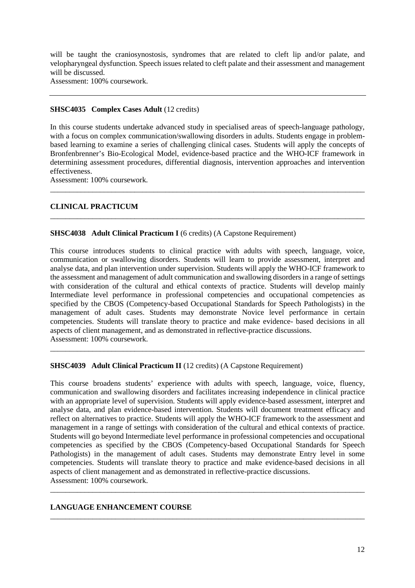will be taught the craniosynostosis, syndromes that are related to cleft lip and/or palate, and velopharyngeal dysfunction. Speech issues related to cleft palate and their assessment and management will be discussed.

Assessment: 100% coursework.

# **SHSC4035 Complex Cases Adult** (12 credits)

In this course students undertake advanced study in specialised areas of speech-language pathology, with a focus on complex communication/swallowing disorders in adults. Students engage in problembased learning to examine a series of challenging clinical cases. Students will apply the concepts of Bronfenbrenner's Bio-Ecological Model, evidence-based practice and the WHO-ICF framework in determining assessment procedures, differential diagnosis, intervention approaches and intervention effectiveness.

\_\_\_\_\_\_\_\_\_\_\_\_\_\_\_\_\_\_\_\_\_\_\_\_\_\_\_\_\_\_\_\_\_\_\_\_\_\_\_\_\_\_\_\_\_\_\_\_\_\_\_\_\_\_\_\_\_\_\_\_\_\_\_\_\_\_\_\_\_\_\_\_\_\_\_\_\_\_\_\_\_\_

\_\_\_\_\_\_\_\_\_\_\_\_\_\_\_\_\_\_\_\_\_\_\_\_\_\_\_\_\_\_\_\_\_\_\_\_\_\_\_\_\_\_\_\_\_\_\_\_\_\_\_\_\_\_\_\_\_\_\_\_\_\_\_\_\_\_\_\_\_\_\_\_\_\_\_\_\_\_\_\_\_\_

Assessment: 100% coursework.

# **CLINICAL PRACTICUM**

# **SHSC4038** Adult Clinical Practicum I (6 credits) (A Capstone Requirement)

This course introduces students to clinical practice with adults with speech, language, voice, communication or swallowing disorders. Students will learn to provide assessment, interpret and analyse data, and plan intervention under supervision. Students will apply the WHO-ICF framework to the assessment and management of adult communication and swallowing disorders in a range of settings with consideration of the cultural and ethical contexts of practice. Students will develop mainly Intermediate level performance in professional competencies and occupational competencies as specified by the CBOS (Competency-based Occupational Standards for Speech Pathologists) in the management of adult cases. Students may demonstrate Novice level performance in certain competencies. Students will translate theory to practice and make evidence- based decisions in all aspects of client management, and as demonstrated in reflective-practice discussions. Assessment: 100% coursework.

\_\_\_\_\_\_\_\_\_\_\_\_\_\_\_\_\_\_\_\_\_\_\_\_\_\_\_\_\_\_\_\_\_\_\_\_\_\_\_\_\_\_\_\_\_\_\_\_\_\_\_\_\_\_\_\_\_\_\_\_\_\_\_\_\_\_\_\_\_\_\_\_\_\_\_\_\_\_\_\_\_\_

## **SHSC4039 Adult Clinical Practicum II** (12 credits) (A Capstone Requirement)

This course broadens students' experience with adults with speech, language, voice, fluency, communication and swallowing disorders and facilitates increasing independence in clinical practice with an appropriate level of supervision. Students will apply evidence-based assessment, interpret and analyse data, and plan evidence-based intervention. Students will document treatment efficacy and reflect on alternatives to practice. Students will apply the WHO-ICF framework to the assessment and management in a range of settings with consideration of the cultural and ethical contexts of practice. Students will go beyond Intermediate level performance in professional competencies and occupational competencies as specified by the CBOS (Competency-based Occupational Standards for Speech Pathologists) in the management of adult cases. Students may demonstrate Entry level in some competencies. Students will translate theory to practice and make evidence-based decisions in all aspects of client management and as demonstrated in reflective-practice discussions. Assessment: 100% coursework.

\_\_\_\_\_\_\_\_\_\_\_\_\_\_\_\_\_\_\_\_\_\_\_\_\_\_\_\_\_\_\_\_\_\_\_\_\_\_\_\_\_\_\_\_\_\_\_\_\_\_\_\_\_\_\_\_\_\_\_\_\_\_\_\_\_\_\_\_\_\_\_\_\_\_\_\_\_\_\_\_\_\_

\_\_\_\_\_\_\_\_\_\_\_\_\_\_\_\_\_\_\_\_\_\_\_\_\_\_\_\_\_\_\_\_\_\_\_\_\_\_\_\_\_\_\_\_\_\_\_\_\_\_\_\_\_\_\_\_\_\_\_\_\_\_\_\_\_\_\_\_\_\_\_\_\_\_\_\_\_\_\_\_\_\_

## **LANGUAGE ENHANCEMENT COURSE**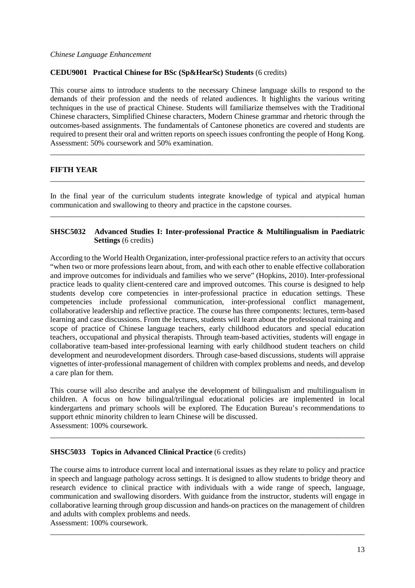## *Chinese Language Enhancement*

## **CEDU9001 Practical Chinese for BSc (Sp&HearSc) Students** (6 credits)

This course aims to introduce students to the necessary Chinese language skills to respond to the demands of their profession and the needs of related audiences. It highlights the various writing techniques in the use of practical Chinese. Students will familiarize themselves with the Traditional Chinese characters, Simplified Chinese characters, Modern Chinese grammar and rhetoric through the outcomes-based assignments. The fundamentals of Cantonese phonetics are covered and students are required to present their oral and written reports on speech issues confronting the people of Hong Kong. Assessment: 50% coursework and 50% examination.

\_\_\_\_\_\_\_\_\_\_\_\_\_\_\_\_\_\_\_\_\_\_\_\_\_\_\_\_\_\_\_\_\_\_\_\_\_\_\_\_\_\_\_\_\_\_\_\_\_\_\_\_\_\_\_\_\_\_\_\_\_\_\_\_\_\_\_\_\_\_\_\_\_\_\_\_\_\_\_\_\_\_

## **FIFTH YEAR**

In the final year of the curriculum students integrate knowledge of typical and atypical human communication and swallowing to theory and practice in the capstone courses.

\_\_\_\_\_\_\_\_\_\_\_\_\_\_\_\_\_\_\_\_\_\_\_\_\_\_\_\_\_\_\_\_\_\_\_\_\_\_\_\_\_\_\_\_\_\_\_\_\_\_\_\_\_\_\_\_\_\_\_\_\_\_\_\_\_\_\_\_\_\_\_\_\_\_\_\_\_\_\_\_\_\_

\_\_\_\_\_\_\_\_\_\_\_\_\_\_\_\_\_\_\_\_\_\_\_\_\_\_\_\_\_\_\_\_\_\_\_\_\_\_\_\_\_\_\_\_\_\_\_\_\_\_\_\_\_\_\_\_\_\_\_\_\_\_\_\_\_\_\_\_\_\_\_\_\_\_\_\_\_\_\_\_\_\_

# **SHSC5032 Advanced Studies I: Inter-professional Practice & Multilingualism in Paediatric Settings** (6 credits)

According to the World Health Organization, inter-professional practice refers to an activity that occurs "when two or more professions learn about, from, and with each other to enable effective collaboration and improve outcomes for individuals and families who we serve" (Hopkins, 2010). Inter-professional practice leads to quality client-centered care and improved outcomes. This course is designed to help students develop core competencies in inter-professional practice in education settings. These competencies include professional communication, inter-professional conflict management, collaborative leadership and reflective practice. The course has three components: lectures, term-based learning and case discussions. From the lectures, students will learn about the professional training and scope of practice of Chinese language teachers, early childhood educators and special education teachers, occupational and physical therapists. Through team-based activities, students will engage in collaborative team-based inter-professional learning with early childhood student teachers on child development and neurodevelopment disorders. Through case-based discussions, students will appraise vignettes of inter-professional management of children with complex problems and needs, and develop a care plan for them.

This course will also describe and analyse the development of bilingualism and multilingualism in children. A focus on how bilingual/trilingual educational policies are implemented in local kindergartens and primary schools will be explored. The Education Bureau's recommendations to support ethnic minority children to learn Chinese will be discussed. Assessment: 100% coursework.

\_\_\_\_\_\_\_\_\_\_\_\_\_\_\_\_\_\_\_\_\_\_\_\_\_\_\_\_\_\_\_\_\_\_\_\_\_\_\_\_\_\_\_\_\_\_\_\_\_\_\_\_\_\_\_\_\_\_\_\_\_\_\_\_\_\_\_\_\_\_\_\_\_\_\_\_\_\_\_\_\_\_

## **SHSC5033 Topics in Advanced Clinical Practice** (6 credits)

The course aims to introduce current local and international issues as they relate to policy and practice in speech and language pathology across settings. It is designed to allow students to bridge theory and research evidence to clinical practice with individuals with a wide range of speech, language, communication and swallowing disorders. With guidance from the instructor, students will engage in collaborative learning through group discussion and hands-on practices on the management of children and adults with complex problems and needs.

\_\_\_\_\_\_\_\_\_\_\_\_\_\_\_\_\_\_\_\_\_\_\_\_\_\_\_\_\_\_\_\_\_\_\_\_\_\_\_\_\_\_\_\_\_\_\_\_\_\_\_\_\_\_\_\_\_\_\_\_\_\_\_\_\_\_\_\_\_\_\_\_\_\_\_\_\_\_\_\_\_\_

Assessment: 100% coursework.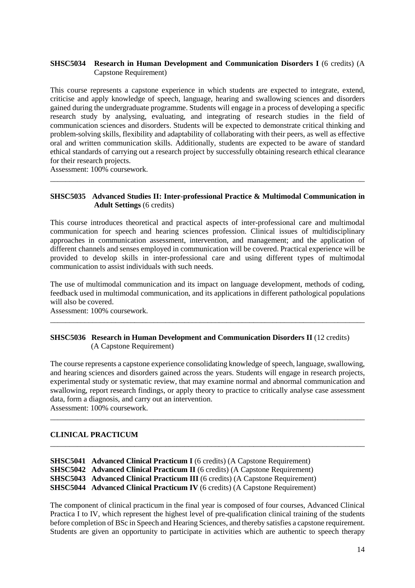# **SHSC5034 Research in Human Development and Communication Disorders I** (6 credits) (A Capstone Requirement)

This course represents a capstone experience in which students are expected to integrate, extend, criticise and apply knowledge of speech, language, hearing and swallowing sciences and disorders gained during the undergraduate programme. Students will engage in a process of developing a specific research study by analysing, evaluating, and integrating of research studies in the field of communication sciences and disorders. Students will be expected to demonstrate critical thinking and problem-solving skills, flexibility and adaptability of collaborating with their peers, as well as effective oral and written communication skills. Additionally, students are expected to be aware of standard ethical standards of carrying out a research project by successfully obtaining research ethical clearance for their research projects.

Assessment: 100% coursework.

## **SHSC5035 Advanced Studies II: Inter-professional Practice & Multimodal Communication in Adult Settings** (6 credits)

\_\_\_\_\_\_\_\_\_\_\_\_\_\_\_\_\_\_\_\_\_\_\_\_\_\_\_\_\_\_\_\_\_\_\_\_\_\_\_\_\_\_\_\_\_\_\_\_\_\_\_\_\_\_\_\_\_\_\_\_\_\_\_\_\_\_\_\_\_\_\_\_\_\_\_\_\_\_\_\_\_\_

This course introduces theoretical and practical aspects of inter-professional care and multimodal communication for speech and hearing sciences profession. Clinical issues of multidisciplinary approaches in communication assessment, intervention, and management; and the application of different channels and senses employed in communication will be covered. Practical experience will be provided to develop skills in inter-professional care and using different types of multimodal communication to assist individuals with such needs.

The use of multimodal communication and its impact on language development, methods of coding, feedback used in multimodal communication, and its applications in different pathological populations will also be covered.

\_\_\_\_\_\_\_\_\_\_\_\_\_\_\_\_\_\_\_\_\_\_\_\_\_\_\_\_\_\_\_\_\_\_\_\_\_\_\_\_\_\_\_\_\_\_\_\_\_\_\_\_\_\_\_\_\_\_\_\_\_\_\_\_\_\_\_\_\_\_\_\_\_\_\_\_\_\_\_\_\_\_

Assessment: 100% coursework.

## **SHSC5036 Research in Human Development and Communication Disorders II** (12 credits) (A Capstone Requirement)

The course represents a capstone experience consolidating knowledge of speech, language, swallowing, and hearing sciences and disorders gained across the years. Students will engage in research projects, experimental study or systematic review, that may examine normal and abnormal communication and swallowing, report research findings, or apply theory to practice to critically analyse case assessment data, form a diagnosis, and carry out an intervention.

\_\_\_\_\_\_\_\_\_\_\_\_\_\_\_\_\_\_\_\_\_\_\_\_\_\_\_\_\_\_\_\_\_\_\_\_\_\_\_\_\_\_\_\_\_\_\_\_\_\_\_\_\_\_\_\_\_\_\_\_\_\_\_\_\_\_\_\_\_\_\_\_\_\_\_\_\_\_\_\_\_\_

\_\_\_\_\_\_\_\_\_\_\_\_\_\_\_\_\_\_\_\_\_\_\_\_\_\_\_\_\_\_\_\_\_\_\_\_\_\_\_\_\_\_\_\_\_\_\_\_\_\_\_\_\_\_\_\_\_\_\_\_\_\_\_\_\_\_\_\_\_\_\_\_\_\_\_\_\_\_\_\_\_\_

Assessment: 100% coursework.

## **CLINICAL PRACTICUM**

| <b>SHSC5041</b> Advanced Clinical Practicum I (6 credits) (A Capstone Requirement)   |
|--------------------------------------------------------------------------------------|
| <b>SHSC5042</b> Advanced Clinical Practicum II (6 credits) (A Capstone Requirement)  |
| <b>SHSC5043</b> Advanced Clinical Practicum III (6 credits) (A Capstone Requirement) |
| <b>SHSC5044</b> Advanced Clinical Practicum IV (6 credits) (A Capstone Requirement)  |
|                                                                                      |

The component of clinical practicum in the final year is composed of four courses, Advanced Clinical Practica I to IV, which represent the highest level of pre-qualification clinical training of the students before completion of BSc in Speech and Hearing Sciences, and thereby satisfies a capstone requirement. Students are given an opportunity to participate in activities which are authentic to speech therapy